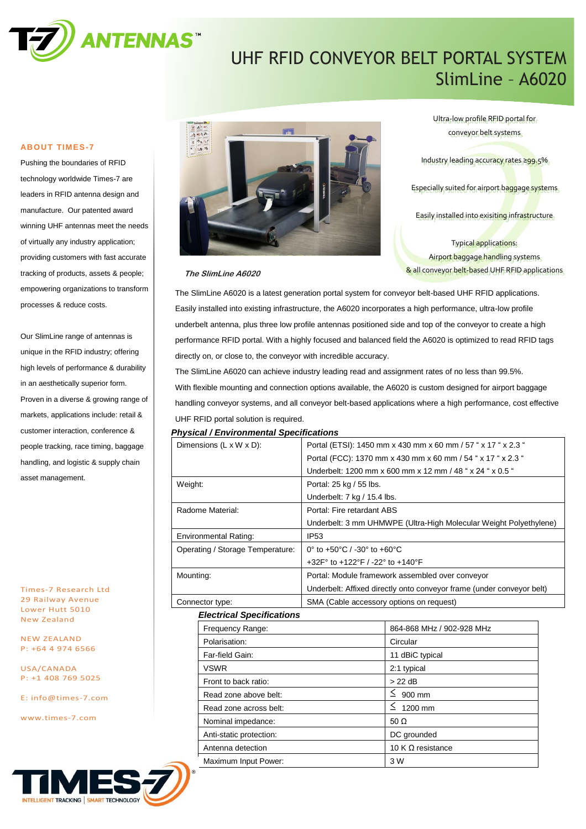

# UHF RFID CONVEYOR BELT PORTAL SYSTEM SlimLine – A6020

### **ABOUT TIMES-7**

Pushing the boundaries of RFID technology worldwide Times-7 are leaders in RFID antenna design and manufacture. Our patented award winning UHF antennas meet the needs of virtually any industry application; providing customers with fast accurate tracking of products, assets & people; empowering organizations to transform processes & reduce costs.

Our SlimLine range of antennas is unique in the RFID industry; offering high levels of performance & durability in an aesthetically superior form. Proven in a diverse & growing range of markets, applications include: retail & customer interaction, conference & people tracking, race timing, baggage handling, and logistic & supply chain asset management.

Times-7 Research Ltd 29 Railway Avenue Lower Hutt 5010 New Zealand

NEW ZEALAND P: +64 4 974 6566

USA/CANADA P: +1 408 769 5025

E: [info@times-7.com](mailto:info@times-7.com)

www.times-7.com



Ultra-low profile RFID portal for conveyor belt systems

Industry leading accuracy rates ≥99.5%

Especially suited for airport baggage systems.

Easily installed into exisiting infrastructure

Typical applications: Airport baggage handling systems & all conveyor belt-based UHF RFID applications

#### **The SlimLine A6020**

The SlimLine A6020 is a latest generation portal system for conveyor belt-based UHF RFID applications. Easily installed into existing infrastructure, the A6020 incorporates a high performance, ultra-low profile underbelt antenna, plus three low profile antennas positioned side and top of the conveyor to create a high performance RFID portal. With a highly focused and balanced field the A6020 is optimized to read RFID tags directly on, or close to, the conveyor with incredible accuracy.

The SlimLine A6020 can achieve industry leading read and assignment rates of no less than 99.5%. With flexible mounting and connection options available, the A6020 is custom designed for airport baggage handling conveyor systems, and all conveyor belt-based applications where a high performance, cost effective UHF RFID portal solution is required.

#### *Physical / Environmental Specifications*

| Dimensions (L x W x D):          |                                  | Portal (ETSI): 1450 mm x 430 mm x 60 mm / 57 " x 17 " x 2.3 "         |                           |  |
|----------------------------------|----------------------------------|-----------------------------------------------------------------------|---------------------------|--|
|                                  |                                  | Portal (FCC): 1370 mm x 430 mm x 60 mm / 54 " x 17 " x 2.3 "          |                           |  |
|                                  |                                  | Underbelt: 1200 mm x 600 mm x 12 mm / 48 " x 24 " x 0.5 "             |                           |  |
| Weight:                          |                                  | Portal: 25 kg / 55 lbs.                                               |                           |  |
|                                  |                                  | Underbelt: 7 kg / 15.4 lbs.                                           |                           |  |
| Radome Material:                 |                                  | Portal: Fire retardant ABS                                            |                           |  |
|                                  |                                  | Underbelt: 3 mm UHMWPE (Ultra-High Molecular Weight Polyethylene)     |                           |  |
| <b>Environmental Rating:</b>     |                                  | <b>IP53</b>                                                           |                           |  |
| Operating / Storage Temperature: |                                  | 0 $\degree$ to +50 $\degree$ C / -30 $\degree$ to +60 $\degree$ C     |                           |  |
|                                  |                                  | +32F° to +122°F / -22° to +140°F                                      |                           |  |
| Mounting:                        |                                  | Portal: Module framework assembled over conveyor                      |                           |  |
|                                  |                                  | Underbelt: Affixed directly onto conveyor frame (under conveyor belt) |                           |  |
| Connector type:                  |                                  | SMA (Cable accessory options on request)                              |                           |  |
|                                  | <b>Electrical Specifications</b> |                                                                       |                           |  |
|                                  | Frequency Range:                 |                                                                       | 864-868 MHz / 902-928 MHz |  |
|                                  | Polarisation:                    |                                                                       | Circular                  |  |
|                                  | Far-field Gain:                  |                                                                       | 11 dBiC typical           |  |
|                                  | <b>VSWR</b>                      |                                                                       | 2:1 typical               |  |
|                                  | Front to back ratio:             |                                                                       | $>22$ dB                  |  |
|                                  | Read zone above belt:            |                                                                       | $\leq$ 900 mm             |  |
|                                  | Read zone across belt:           |                                                                       | $\leq 1200$ mm            |  |
|                                  | Nominal impedance:               |                                                                       | 50 $\Omega$               |  |
|                                  | Anti-static protection:          |                                                                       | DC grounded               |  |
|                                  | Antenna detection                |                                                                       | 10 K $\Omega$ resistance  |  |
|                                  | Maximum Input Power:             |                                                                       | 3 W                       |  |